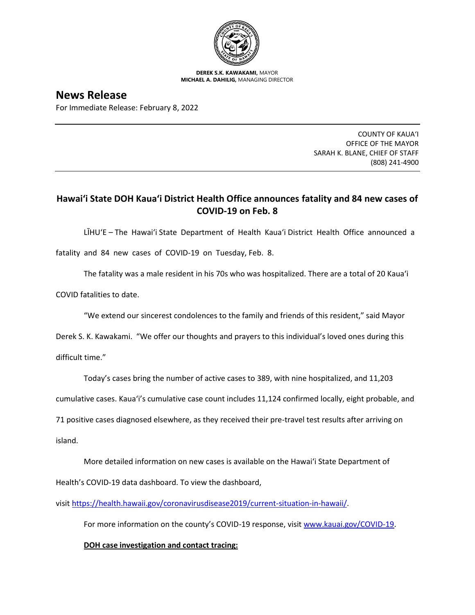

**DEREK S.K. KAWAKAMI,** MAYOR **MICHAEL A. DAHILIG,** MANAGING DIRECTOR

**News Release** For Immediate Release: February 8, 2022

> COUNTY OF KAUA'I OFFICE OF THE MAYOR SARAH K. BLANE, CHIEF OF STAFF (808) 241-4900

## **Hawai'i State DOH Kaua'i District Health Office announces fatality and 84 new cases of COVID-19 on Feb. 8**

LĪHU'E – The Hawai'i State Department of Health Kaua'i District Health Office announced a

fatality and 84 new cases of COVID-19 on Tuesday, Feb. 8.

The fatality was a male resident in his 70s who was hospitalized. There are a total of 20 Kaua'i

COVID fatalities to date.

"We extend our sincerest condolences to the family and friends of this resident," said Mayor

Derek S. K. Kawakami. "We offer our thoughts and prayers to this individual's loved ones during this

difficult time."

Today's cases bring the number of active cases to 389, with nine hospitalized, and 11,203

cumulative cases. Kaua'i's cumulative case count includes 11,124 confirmed locally, eight probable, and

71 positive cases diagnosed elsewhere, as they received their pre-travel test results after arriving on

island.

More detailed information on new cases is available on the Hawai'i State Department of

Health's COVID-19 data dashboard. To view the dashboard,

visit [https://health.hawaii.gov/coronavirusdisease2019/current-situation-in-hawaii/.](https://health.hawaii.gov/coronavirusdisease2019/current-situation-in-hawaii/)

For more information on the county's COVID-19 response, visit [www.kauai.gov/COVID-19.](https://urldefense.com/v3/__http:/www.kauai.gov/COVID-19__;!!LIYSdFfckKA!l4A5nHuw73q2ubt1jVfVpBxrgAoeT-qm9LHA2X0eDo7DmU1d8EztTez1J2SRjWo05uCKvMiUtA$)

**DOH case investigation and contact tracing:**